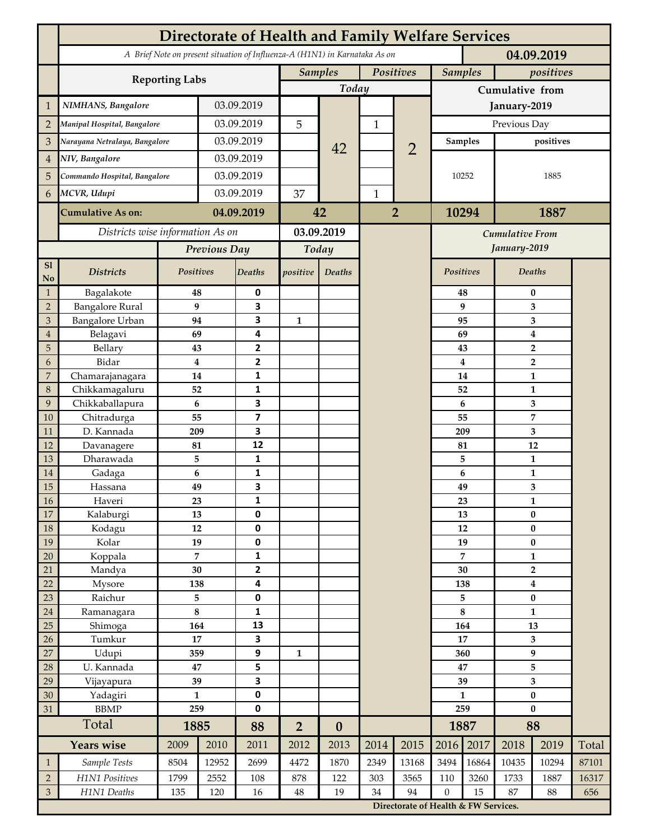|                             | <b>Directorate of Health and Family Welfare Services</b>                                 |                     |            |                              |                             |                  |                |                        |                                      |                             |                                 |                               |       |  |  |  |  |
|-----------------------------|------------------------------------------------------------------------------------------|---------------------|------------|------------------------------|-----------------------------|------------------|----------------|------------------------|--------------------------------------|-----------------------------|---------------------------------|-------------------------------|-------|--|--|--|--|
|                             | A Brief Note on present situation of Influenza-A (H1N1) in Karnataka As on<br>04.09.2019 |                     |            |                              |                             |                  |                |                        |                                      |                             |                                 |                               |       |  |  |  |  |
|                             | <b>Reporting Labs</b>                                                                    |                     |            |                              | Positives<br><b>Samples</b> |                  |                |                        |                                      | <b>Samples</b><br>positives |                                 |                               |       |  |  |  |  |
|                             |                                                                                          |                     |            |                              |                             | Today            |                |                        | Cumulative from                      |                             |                                 |                               |       |  |  |  |  |
| $\mathbf{1}$                | NIMHANS, Bangalore                                                                       | 03.09.2019          |            |                              |                             |                  |                | January-2019           |                                      |                             |                                 |                               |       |  |  |  |  |
| $\overline{2}$              | Manipal Hospital, Bangalore                                                              |                     |            | 03.09.2019                   |                             |                  | $\mathbf{1}$   |                        | Previous Day                         |                             |                                 |                               |       |  |  |  |  |
| 3                           | Narayana Netralaya, Bangalore                                                            |                     |            | 03.09.2019                   |                             |                  |                |                        | <b>Samples</b><br>positives          |                             |                                 |                               |       |  |  |  |  |
| $\overline{4}$              |                                                                                          | NIV, Bangalore      |            | 03.09.2019                   |                             | 42               |                | $\overline{2}$         | 10252                                |                             |                                 |                               |       |  |  |  |  |
| 5                           | Commando Hospital, Bangalore                                                             |                     | 03.09.2019 |                              |                             |                  |                |                        |                                      |                             |                                 | 1885                          |       |  |  |  |  |
| 6                           | MCVR, Udupi                                                                              |                     | 03.09.2019 |                              | 37                          |                  | $\mathbf{1}$   |                        |                                      |                             |                                 |                               |       |  |  |  |  |
|                             |                                                                                          |                     |            |                              |                             |                  | $\overline{2}$ |                        |                                      |                             | 1887                            |                               |       |  |  |  |  |
|                             | <b>Cumulative As on:</b>                                                                 | 04.09.2019          |            | 42                           |                             |                  |                | 10294                  |                                      |                             |                                 |                               |       |  |  |  |  |
|                             | Districts wise information As on                                                         |                     |            | 03.09.2019                   |                             |                  |                | <b>Cumulative From</b> |                                      |                             |                                 |                               |       |  |  |  |  |
|                             |                                                                                          | Previous Day        |            | Today                        |                             |                  |                |                        |                                      |                             | January-2019                    |                               |       |  |  |  |  |
| S1<br>No                    | <b>Districts</b>                                                                         | Positives           |            | Deaths                       | positive                    | Deaths           |                |                        | Positives                            |                             |                                 | <b>Deaths</b>                 |       |  |  |  |  |
| $\mathbf{1}$                | Bagalakote                                                                               | 48                  |            | $\pmb{0}$                    |                             |                  |                |                        |                                      | 48                          |                                 | $\bf{0}$                      |       |  |  |  |  |
| $\overline{2}$              | <b>Bangalore Rural</b>                                                                   | 9                   |            | 3                            |                             |                  |                |                        |                                      | 9                           | 3                               |                               |       |  |  |  |  |
| 3                           | <b>Bangalore Urban</b>                                                                   | 94                  |            | 3                            | $\mathbf{1}$                |                  |                |                        | 95                                   | 3                           |                                 |                               |       |  |  |  |  |
| $\overline{4}$<br>5         | Belagavi<br>Bellary                                                                      | 69<br>43            |            | 4<br>$\mathbf{2}$            |                             |                  |                |                        |                                      | 69<br>43                    | $\boldsymbol{4}$<br>$\mathbf 2$ |                               |       |  |  |  |  |
| 6                           | Bidar                                                                                    | $\bf{4}$            |            | 2                            |                             |                  |                |                        |                                      | 4                           |                                 |                               |       |  |  |  |  |
| $\overline{7}$              | Chamarajanagara                                                                          | 14                  |            | 1                            |                             |                  |                |                        |                                      | 14                          | $\overline{2}$<br>$\mathbf{1}$  |                               |       |  |  |  |  |
| 8                           | Chikkamagaluru                                                                           | 52                  |            | 1                            |                             |                  |                |                        |                                      | 52                          |                                 | 1                             |       |  |  |  |  |
| 9                           | Chikkaballapura                                                                          | 6                   |            | 3                            |                             |                  |                |                        |                                      | 6                           |                                 | 3                             |       |  |  |  |  |
| 10                          | Chitradurga                                                                              | 55                  |            | $\overline{\mathbf{z}}$      |                             |                  |                |                        |                                      | 55                          |                                 | $\overline{7}$                |       |  |  |  |  |
| 11                          | D. Kannada                                                                               | 209                 |            | 3                            |                             |                  |                |                        |                                      | 209                         | 3                               |                               |       |  |  |  |  |
| 12                          | Davanagere                                                                               | 81                  |            | 12                           |                             |                  |                |                        |                                      | 81                          | 12<br>1                         |                               |       |  |  |  |  |
| 13<br>14                    | Dharawada                                                                                | 5<br>6              |            | 1<br>1                       |                             |                  |                |                        |                                      | 5<br>6                      |                                 | $\mathbf{1}$                  |       |  |  |  |  |
| 15                          | Gadaga<br>Hassana                                                                        | 49                  |            | 3                            |                             |                  |                |                        |                                      | 49                          |                                 | 3                             |       |  |  |  |  |
| 16                          | Haveri                                                                                   | 23                  |            | 1                            |                             |                  |                |                        |                                      | 23                          |                                 | 1                             |       |  |  |  |  |
| 17                          | Kalaburgi                                                                                | 13                  |            | 0                            |                             |                  |                |                        |                                      | 13                          | $\pmb{0}$                       |                               |       |  |  |  |  |
| 18                          | Kodagu                                                                                   | $12\,$              |            | 0                            |                             |                  |                |                        |                                      | 12                          |                                 | $\pmb{0}$                     |       |  |  |  |  |
| 19                          | Kolar                                                                                    | 19                  |            | 0                            |                             |                  |                |                        |                                      | 19                          |                                 | $\bf{0}$                      |       |  |  |  |  |
| 20                          | Koppala                                                                                  | $\overline{7}$      |            | 1                            |                             |                  |                |                        |                                      | 7                           | $\mathbf{1}$                    |                               |       |  |  |  |  |
| 21<br>22                    | Mandya                                                                                   | 30<br>138           |            | $\overline{\mathbf{2}}$<br>4 |                             |                  |                |                        | 30<br>138                            |                             |                                 | $\overline{2}$                |       |  |  |  |  |
| 23                          | Mysore<br>Raichur                                                                        | 5                   |            | 0                            |                             |                  |                |                        |                                      | 5                           |                                 | $\boldsymbol{4}$<br>$\pmb{0}$ |       |  |  |  |  |
| 24                          | Ramanagara                                                                               | $\bf 8$             |            | 1                            |                             |                  |                |                        | 8                                    |                             | $\mathbf{1}$                    |                               |       |  |  |  |  |
| 25                          | Shimoga                                                                                  | 164                 |            | 13                           |                             |                  |                |                        | 164                                  |                             | 13                              |                               |       |  |  |  |  |
| 26                          | Tumkur                                                                                   | 17                  |            | 3                            |                             |                  |                |                        | 17                                   |                             | 3                               |                               |       |  |  |  |  |
| 27                          | Udupi                                                                                    | 359                 |            | 9                            | 1                           |                  |                |                        | 360                                  |                             | $\boldsymbol{9}$                |                               |       |  |  |  |  |
| 28                          | U. Kannada                                                                               | 47                  |            | 5                            |                             |                  |                |                        | 47                                   |                             | 5                               |                               |       |  |  |  |  |
| 29                          | Vijayapura                                                                               | 39                  |            | 3                            |                             |                  |                |                        | 39                                   |                             | 3                               |                               |       |  |  |  |  |
| 30<br>31                    | Yadagiri<br><b>BBMP</b>                                                                  | $\mathbf{1}$<br>259 |            | 0<br>0                       |                             |                  |                |                        | $\mathbf{1}$<br>259                  |                             | $\pmb{0}$<br>$\bf{0}$           |                               |       |  |  |  |  |
|                             | Total                                                                                    | 1885                |            | 88                           | $\overline{2}$              | $\boldsymbol{0}$ |                |                        | 1887                                 |                             | 88                              |                               |       |  |  |  |  |
|                             | <b>Years wise</b>                                                                        | 2009                | 2010       | 2011                         | 2012                        | 2013             | 2014           | 2015                   | 2016                                 | 2017                        | 2018                            | 2019                          | Total |  |  |  |  |
| $\mathbf{1}$                | Sample Tests                                                                             | 8504                | 12952      | 2699                         | 4472                        | 1870             | 2349           | 13168                  | 3494                                 | 16864                       | 10435                           | 10294                         | 87101 |  |  |  |  |
| $\sqrt{2}$                  | H1N1 Positives                                                                           | 1799                | 2552       | 108                          | 878                         | 122              | 303            | 3565                   | 110                                  | 3260                        | 1733                            | 1887                          | 16317 |  |  |  |  |
| $\ensuremath{\mathfrak{Z}}$ | H1N1 Deaths                                                                              | 135                 | 120        | 16                           | $48\,$                      | 19               | 34             | 94                     | $\mathbf{0}$                         | 15                          | 87                              | 88                            | 656   |  |  |  |  |
|                             |                                                                                          |                     |            |                              |                             |                  |                |                        | Directorate of Health & FW Services. |                             |                                 |                               |       |  |  |  |  |